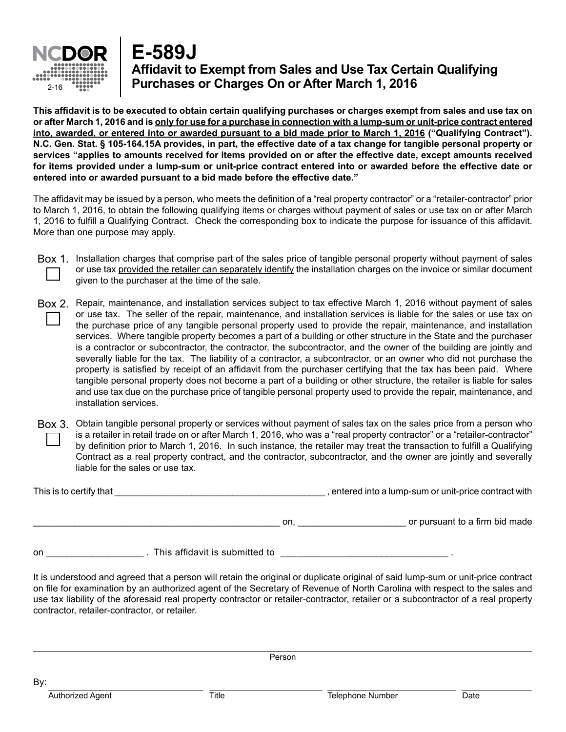

## **Affidavit to Exempt from Sales and Use Tax Certain Qualifying Purchases or Charges On or After March 1, 2016 E-589J**

**This affidavit is to be executed to obtain certain qualifying purchases or charges exempt from sales and use tax on or after March 1, 2016 and is only for use for a purchase in connection with a lump-sum or unit-price contract entered into, awarded, or entered into or awarded pursuant to a bid made prior to March 1, 2016 ("Qualifying Contract"). N.C. Gen. Stat. § 105-164.15A provides, in part, the effective date of a tax change for tangible personal property or services "applies to amounts received for items provided on or after the effective date, except amounts received for items provided under a lump-sum or unit-price contract entered into or awarded before the effective date or entered into or awarded pursuant to a bid made before the effective date."**

The affidavit may be issued by a person, who meets the definition of a "real property contractor" or a "retailer-contractor" prior to March 1, 2016, to obtain the following qualifying items or charges without payment of sales or use tax on or after March 1, 2016 to fulfill a Qualifying Contract. Check the corresponding box to indicate the purpose for issuance of this affidavit. More than one purpose may apply.

- Box 1. Installation charges that comprise part of the sales price of tangible personal property without payment of sales or use tax provided the retailer can separately identify the installation charges on the invoice or similar document given to the purchaser at the time of the sale.
- Box 2. Repair, maintenance, and installation services subject to tax effective March 1, 2016 without payment of sales or use tax. The seller of the repair, maintenance, and installation services is liable for the sales or use tax on the purchase price of any tangible personal property used to provide the repair, maintenance, and installation services. Where tangible property becomes a part of a building or other structure in the State and the purchaser is a contractor or subcontractor, the contractor, the subcontractor, and the owner of the building are jointly and severally liable for the tax. The liability of a contractor, a subcontractor, or an owner who did not purchase the property is satisfied by receipt of an affidavit from the purchaser certifying that the tax has been paid. Where tangible personal property does not become a part of a building or other structure, the retailer is liable for sales and use tax due on the purchase price of tangible personal property used to provide the repair, maintenance, and installation services.
- Box 3. Obtain tangible personal property or services without payment of sales tax on the sales price from a person who is a retailer in retail trade on or after March 1, 2016, who was a "real property contractor" or a "retailer-contractor" by definition prior to March 1, 2016. In such instance, the retailer may treat the transaction to fulfill a Qualifying Contract as a real property contract, and the contractor, subcontractor, and the owner are jointly and severally liable for the sales or use tax.

This is to certify that \_\_\_\_\_\_\_\_\_\_\_\_\_\_\_\_\_\_\_\_\_\_\_\_\_\_\_\_\_\_\_\_\_\_\_\_\_\_\_\_\_ , entered into a lump-sum or unit-price contract with

\_\_\_\_\_\_\_\_\_\_\_\_\_\_\_\_\_\_\_\_\_\_\_\_\_\_\_\_\_\_\_\_\_\_\_\_\_\_\_\_\_\_\_\_\_\_\_\_ on, \_\_\_\_\_\_\_\_\_\_\_\_\_\_\_\_\_\_\_\_\_ or pursuant to a firm bid made

| on | This affidavit is submitted to |  |
|----|--------------------------------|--|

It is understood and agreed that a person will retain the original or duplicate original of said lump-sum or unit-price contract on file for examination by an authorized agent of the Secretary of Revenue of North Carolina with respect to the sales and use tax liability of the aforesaid real property contractor or retailer-contractor, retailer or a subcontractor of a real property contractor, retailer-contractor, or retailer.

Person

By: